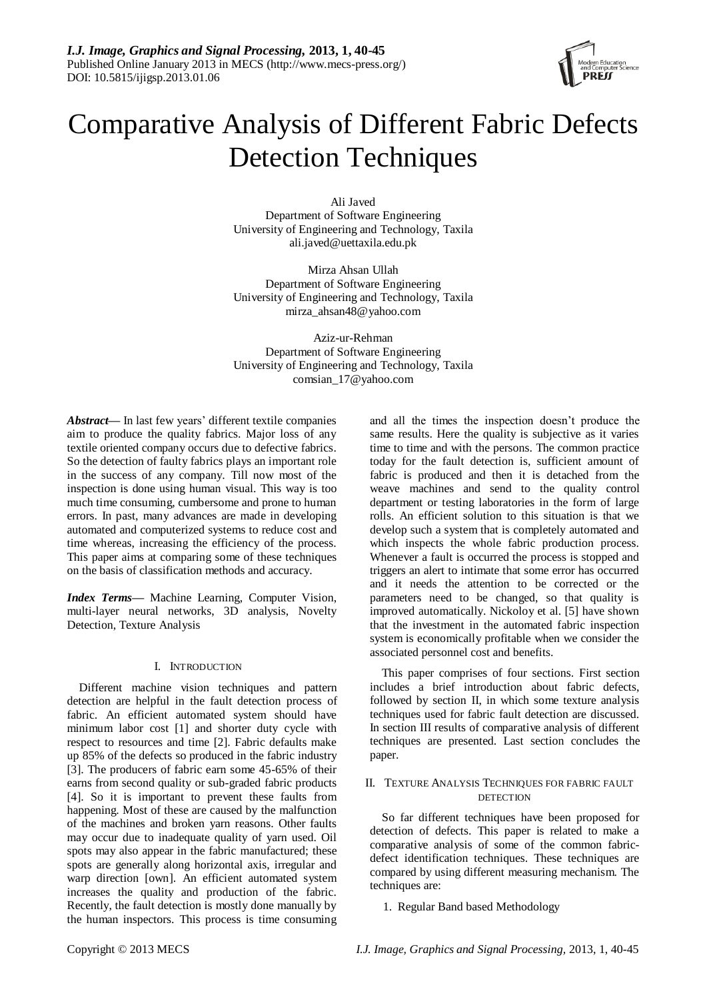

# Comparative Analysis of Different Fabric Defects Detection Techniques

Ali Javed Department of Software Engineering University of Engineering and Technology, Taxila [ali.javed@uettaxila.edu.pk](mailto:ali.javed@uettaxila.edu.pk)

Mirza Ahsan Ullah Department of Software Engineering University of Engineering and Technology, Taxila [mirza\\_ahsan48@yahoo.com](mailto:mirza_ahsan48@yahoo.com)

Aziz-ur-Rehman Department of Software Engineering University of Engineering and Technology, Taxila comsian\_17@yahoo.com

*Abstract***—** In last few years' different textile companies aim to produce the quality fabrics. Major loss of any textile oriented company occurs due to defective fabrics. So the detection of faulty fabrics plays an important role in the success of any company. Till now most of the inspection is done using human visual. This way is too much time consuming, cumbersome and prone to human errors. In past, many advances are made in developing automated and computerized systems to reduce cost and time whereas, increasing the efficiency of the process. This paper aims at comparing some of these techniques on the basis of classification methods and accuracy.

*Index Terms***—** Machine Learning, Computer Vision, multi-layer neural networks, 3D analysis, Novelty Detection, Texture Analysis

# I. INTRODUCTION

Different machine vision techniques and pattern detection are helpful in the fault detection process of fabric. An efficient automated system should have minimum labor cost [1] and shorter duty cycle with respect to resources and time [2]. Fabric defaults make up 85% of the defects so produced in the fabric industry [3]. The producers of fabric earn some 45-65% of their earns from second quality or sub-graded fabric products [4]. So it is important to prevent these faults from happening. Most of these are caused by the malfunction of the machines and broken yarn reasons. Other faults may occur due to inadequate quality of yarn used. Oil spots may also appear in the fabric manufactured; these spots are generally along horizontal axis, irregular and warp direction [own]. An efficient automated system increases the quality and production of the fabric. Recently, the fault detection is mostly done manually by the human inspectors. This process is time consuming and all the times the inspection doesn't produce the same results. Here the quality is subjective as it varies time to time and with the persons. The common practice today for the fault detection is, sufficient amount of fabric is produced and then it is detached from the weave machines and send to the quality control department or testing laboratories in the form of large rolls. An efficient solution to this situation is that we develop such a system that is completely automated and which inspects the whole fabric production process. Whenever a fault is occurred the process is stopped and triggers an alert to intimate that some error has occurred and it needs the attention to be corrected or the parameters need to be changed, so that quality is improved automatically. Nickoloy et al. [5] have shown that the investment in the automated fabric inspection system is economically profitable when we consider the associated personnel cost and benefits.

This paper comprises of four sections. First section includes a brief introduction about fabric defects, followed by section II, in which some texture analysis techniques used for fabric fault detection are discussed. In section III results of comparative analysis of different techniques are presented. Last section concludes the paper.

## II. TEXTURE ANALYSIS TECHNIQUES FOR FABRIC FAULT DETECTION

So far different techniques have been proposed for detection of defects. This paper is related to make a comparative analysis of some of the common fabricdefect identification techniques. These techniques are compared by using different measuring mechanism. The techniques are:

1. Regular Band based Methodology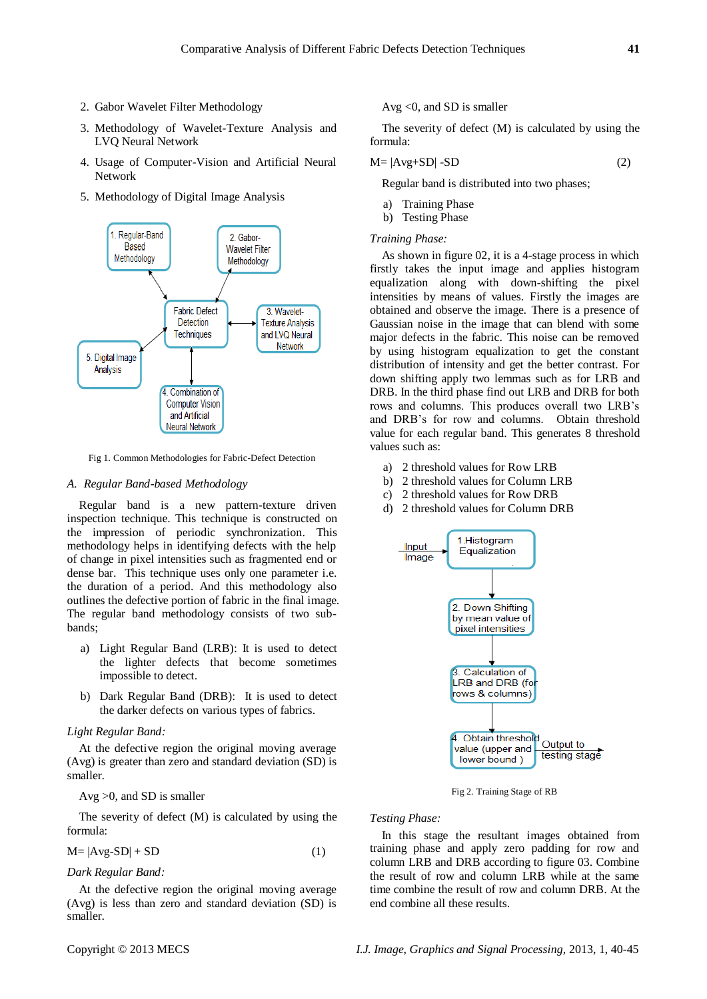- 2. Gabor Wavelet Filter Methodology
- 3. Methodology of Wavelet-Texture Analysis and LVQ Neural Network
- 4. Usage of Computer-Vision and Artificial Neural Network
- 5. Methodology of Digital Image Analysis



Fig 1. Common Methodologies for Fabric-Defect Detection

#### *A. Regular Band-based Methodology*

Regular band is a new pattern-texture driven inspection technique. This technique is constructed on the impression of periodic synchronization. This methodology helps in identifying defects with the help of change in pixel intensities such as fragmented end or dense bar. This technique uses only one parameter i.e. the duration of a period. And this methodology also outlines the defective portion of fabric in the final image. The regular band methodology consists of two subbands;

- a) Light Regular Band (LRB): It is used to detect the lighter defects that become sometimes impossible to detect.
- b) Dark Regular Band (DRB): It is used to detect the darker defects on various types of fabrics.

## *Light Regular Band:*

At the defective region the original moving average (Avg) is greater than zero and standard deviation (SD) is smaller.

## Avg >0, and SD is smaller

The severity of defect (M) is calculated by using the formula:

$$
M = |Avg - SD| + SD \tag{1}
$$

*Dark Regular Band:*

At the defective region the original moving average (Avg) is less than zero and standard deviation (SD) is smaller.

Avg <0, and SD is smaller

The severity of defect (M) is calculated by using the formula:

$$
M = |Avg + SD| - SD \tag{2}
$$

Regular band is distributed into two phases;

- a) Training Phase
- b) Testing Phase

## *Training Phase:*

As shown in figure 02, it is a 4-stage process in which firstly takes the input image and applies histogram equalization along with down-shifting the pixel intensities by means of values. Firstly the images are obtained and observe the image. There is a presence of Gaussian noise in the image that can blend with some major defects in the fabric. This noise can be removed by using histogram equalization to get the constant distribution of intensity and get the better contrast. For down shifting apply two lemmas such as for LRB and DRB. In the third phase find out LRB and DRB for both rows and columns. This produces overall two LRB's and DRB's for row and columns. Obtain threshold value for each regular band. This generates 8 threshold values such as:

- a) 2 threshold values for Row LRB
- b) 2 threshold values for Column LRB
- c) 2 threshold values for Row DRB
- d) 2 threshold values for Column DRB



Fig 2. Training Stage of RB

#### *Testing Phase:*

In this stage the resultant images obtained from training phase and apply zero padding for row and column LRB and DRB according to figure 03. Combine the result of row and column LRB while at the same time combine the result of row and column DRB. At the end combine all these results.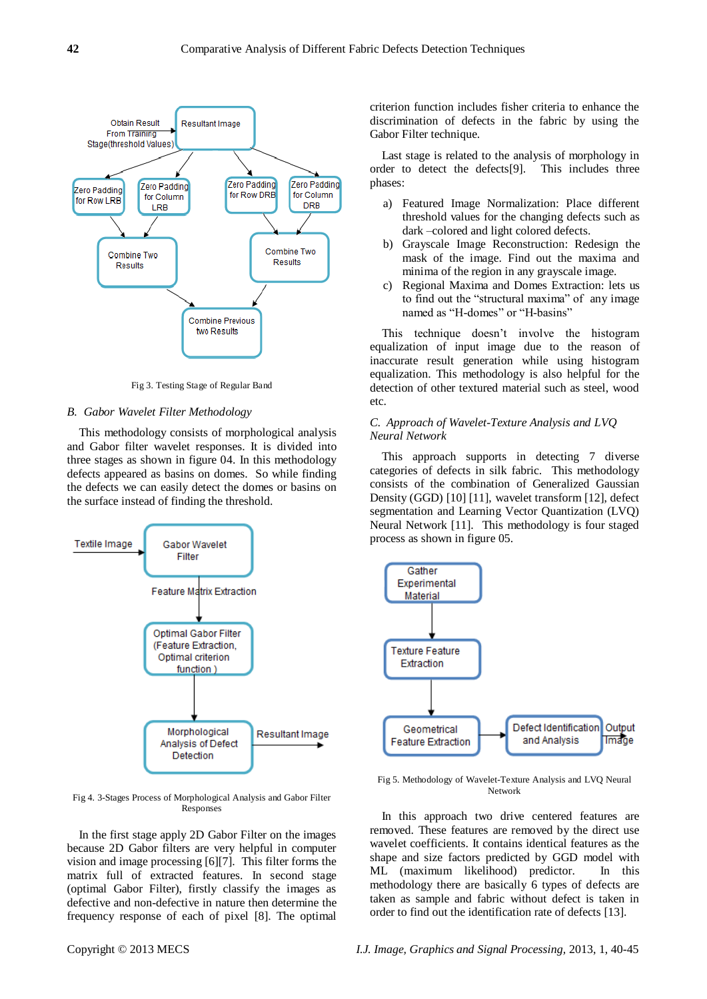

Fig 3. Testing Stage of Regular Band

#### *B. Gabor Wavelet Filter Methodology*

This methodology consists of morphological analysis and Gabor filter wavelet responses. It is divided into three stages as shown in figure 04. In this methodology defects appeared as basins on domes. So while finding the defects we can easily detect the domes or basins on the surface instead of finding the threshold.



Fig 4. 3-Stages Process of Morphological Analysis and Gabor Filter Responses

In the first stage apply 2D Gabor Filter on the images because 2D Gabor filters are very helpful in computer vision and image processing [6][7]. This filter forms the matrix full of extracted features. In second stage (optimal Gabor Filter), firstly classify the images as defective and non-defective in nature then determine the frequency response of each of pixel [8]. The optimal criterion function includes fisher criteria to enhance the discrimination of defects in the fabric by using the Gabor Filter technique.

Last stage is related to the analysis of morphology in order to detect the defects[9]. This includes three phases:

- a) Featured Image Normalization: Place different threshold values for the changing defects such as dark –colored and light colored defects.
- b) Grayscale Image Reconstruction: Redesign the mask of the image. Find out the maxima and minima of the region in any grayscale image.
- c) Regional Maxima and Domes Extraction: lets us to find out the "structural maxima" of any image named as "H-domes" or "H-basins"

This technique doesn't involve the histogram equalization of input image due to the reason of inaccurate result generation while using histogram equalization. This methodology is also helpful for the detection of other textured material such as steel, wood etc.

# *C. Approach of Wavelet-Texture Analysis and LVQ Neural Network*

This approach supports in detecting 7 diverse categories of defects in silk fabric. This methodology consists of the combination of Generalized Gaussian Density (GGD) [10] [11], wavelet transform [12], defect segmentation and Learning Vector Quantization (LVQ) Neural Network [11]. This methodology is four staged process as shown in figure 05.



Fig 5. Methodology of Wavelet-Texture Analysis and LVQ Neural Network

In this approach two drive centered features are removed. These features are removed by the direct use wavelet coefficients. It contains identical features as the shape and size factors predicted by GGD model with ML (maximum likelihood) predictor. In this methodology there are basically 6 types of defects are taken as sample and fabric without defect is taken in order to find out the identification rate of defects [13].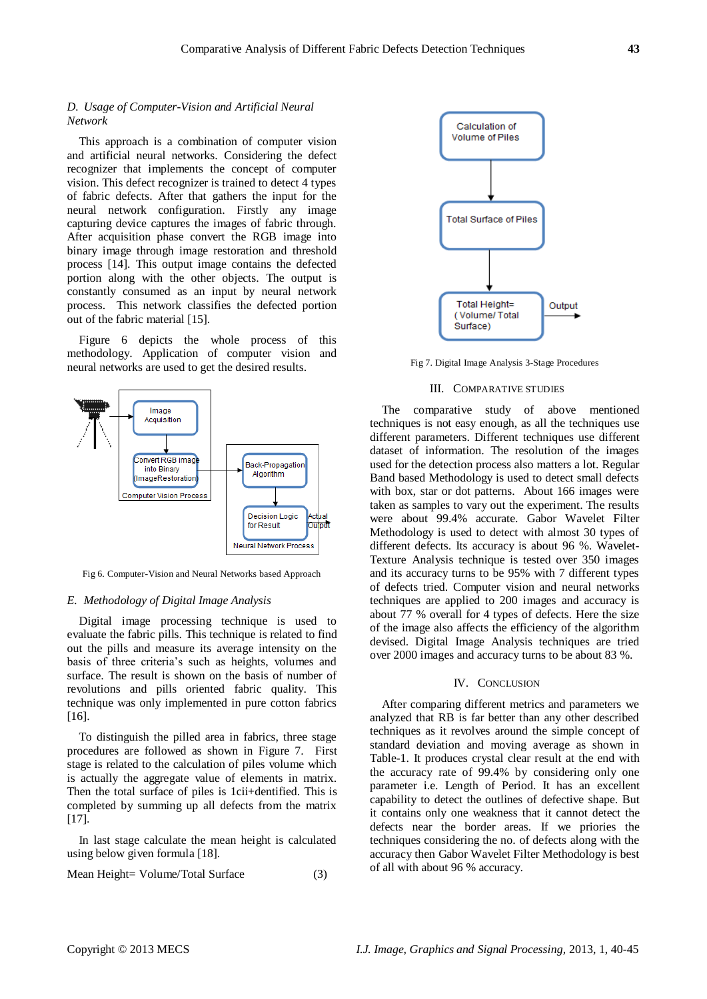## *D. Usage of Computer-Vision and Artificial Neural Network*

This approach is a combination of computer vision and artificial neural networks. Considering the defect recognizer that implements the concept of computer vision. This defect recognizer is trained to detect 4 types of fabric defects. After that gathers the input for the neural network configuration. Firstly any image capturing device captures the images of fabric through. After acquisition phase convert the RGB image into binary image through image restoration and threshold process [14]. This output image contains the defected portion along with the other objects. The output is constantly consumed as an input by neural network process. This network classifies the defected portion out of the fabric material [15].

Figure 6 depicts the whole process of this methodology. Application of computer vision and neural networks are used to get the desired results.



Fig 6. Computer-Vision and Neural Networks based Approach

### *E. Methodology of Digital Image Analysis*

Digital image processing technique is used to evaluate the fabric pills. This technique is related to find out the pills and measure its average intensity on the basis of three criteria's such as heights, volumes and surface. The result is shown on the basis of number of revolutions and pills oriented fabric quality. This technique was only implemented in pure cotton fabrics [16].

To distinguish the pilled area in fabrics, three stage procedures are followed as shown in Figure 7. First stage is related to the calculation of piles volume which is actually the aggregate value of elements in matrix. Then the total surface of piles is 1cii+dentified. This is completed by summing up all defects from the matrix [17].

In last stage calculate the mean height is calculated using below given formula [18].

Mean Height= Volume/Total Surface (3)



Fig 7. Digital Image Analysis 3-Stage Procedures

#### III. COMPARATIVE STUDIES

The comparative study of above mentioned techniques is not easy enough, as all the techniques use different parameters. Different techniques use different dataset of information. The resolution of the images used for the detection process also matters a lot. Regular Band based Methodology is used to detect small defects with box, star or dot patterns. About 166 images were taken as samples to vary out the experiment. The results were about 99.4% accurate. Gabor Wavelet Filter Methodology is used to detect with almost 30 types of different defects. Its accuracy is about 96 %. Wavelet-Texture Analysis technique is tested over 350 images and its accuracy turns to be 95% with 7 different types of defects tried. Computer vision and neural networks techniques are applied to 200 images and accuracy is about 77 % overall for 4 types of defects. Here the size of the image also affects the efficiency of the algorithm devised. Digital Image Analysis techniques are tried over 2000 images and accuracy turns to be about 83 %.

#### IV. CONCLUSION

After comparing different metrics and parameters we analyzed that RB is far better than any other described techniques as it revolves around the simple concept of standard deviation and moving average as shown in Table-1. It produces crystal clear result at the end with the accuracy rate of 99.4% by considering only one parameter i.e. Length of Period. It has an excellent capability to detect the outlines of defective shape. But it contains only one weakness that it cannot detect the defects near the border areas. If we priories the techniques considering the no. of defects along with the accuracy then Gabor Wavelet Filter Methodology is best of all with about 96 % accuracy.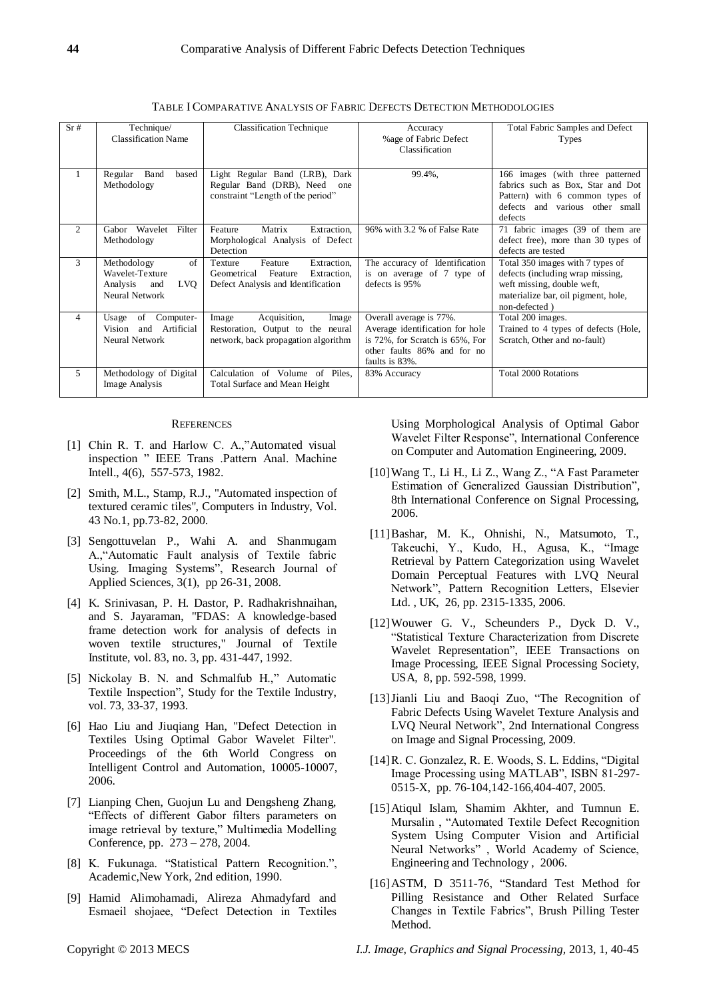| Sr#            | Technique/<br><b>Classification Name</b>                                                | <b>Classification Technique</b>                                                                                  | Accuracy<br>%age of Fabric Defect<br>Classification                                                                                            | Total Fabric Samples and Defect<br>Types                                                                                                                   |
|----------------|-----------------------------------------------------------------------------------------|------------------------------------------------------------------------------------------------------------------|------------------------------------------------------------------------------------------------------------------------------------------------|------------------------------------------------------------------------------------------------------------------------------------------------------------|
| 1              | Band<br>Regular<br>based<br>Methodology                                                 | Light Regular Band (LRB), Dark<br>Regular Band (DRB), Need<br>one<br>constraint "Length of the period"           | 99.4%,                                                                                                                                         | 166 images (with three patterned<br>fabrics such as Box, Star and Dot<br>Pattern) with 6 common types of<br>defects<br>and various other small<br>defects  |
| 2              | Gabor Wavelet<br>Filter<br>Methodology                                                  | Matrix<br>Feature<br>Extraction.<br>Morphological Analysis of Defect<br>Detection                                | 96% with 3.2 % of False Rate                                                                                                                   | 71 fabric images (39 of them are<br>defect free), more than 30 types of<br>defects are tested                                                              |
| 3              | of<br>Methodology<br>Wavelet-Texture<br>LVO<br>Analysis<br>and<br><b>Neural Network</b> | Extraction.<br>Feature<br>Texture<br>Feature<br>Geometrical<br>Extraction.<br>Defect Analysis and Identification | The accuracy of Identification<br>is on average of 7 type of<br>defects is 95%                                                                 | Total 350 images with 7 types of<br>defects (including wrap missing,<br>weft missing, double weft,<br>materialize bar, oil pigment, hole,<br>non-defected) |
| $\overline{4}$ | of<br>Computer-<br>Usage<br>Artificial<br>Vision<br>and<br><b>Neural Network</b>        | Acquisition,<br>Image<br>Image<br>Restoration, Output to the neural<br>network, back propagation algorithm       | Overall average is 77%.<br>Average identification for hole<br>is 72%, for Scratch is 65%, For<br>other faults 86% and for no<br>faults is 83%. | Total 200 images.<br>Trained to 4 types of defects (Hole,<br>Scratch, Other and no-fault)                                                                  |
| 5              | Methodology of Digital<br>Image Analysis                                                | Calculation of Volume of Piles.<br>Total Surface and Mean Height                                                 | 83% Accuracy                                                                                                                                   | Total 2000 Rotations                                                                                                                                       |

TABLE I COMPARATIVE ANALYSIS OF FABRIC DEFECTS DETECTION METHODOLOGIES

#### **REFERENCES**

- [1] Chin R. T. and Harlow C. A.,"Automated visual [inspection](http://ieeexplore.ieee.org/xpls/abs_all.jsp?arnumber=4767309) " IEEE Trans .Pattern Anal. Machine Intell., 4(6), 557-573, 1982.
- [2] Smith, M.L., Stamp, R.J., "Automated inspection of textured ceramic tiles", Computers in Industry, Vol. 43 No.1, pp.73-82, 2000.
- [3] Sengottuvelan P., Wahi A. and Shanmugam A.,"Automatic Fault analysis of Textile fabric Using. Imaging Systems", Research Journal of Applied Sciences, 3(1), pp 26-31, 2008.
- [4] K. Srinivasan, P. H. Dastor, P. Radhakrishnaihan, and S. Jayaraman, "FDAS: A knowledge-based frame detection work for analysis of defects in woven textile structures," Journal of Textile Institute, vol. 83, no. 3, pp. 431-447, 1992.
- [5] Nickolay B. N. and Schmalfub H.," Automatic Textile Inspection", Study for the Textile Industry, vol. 73, 33-37, 1993.
- [6] Hao Liu and Jiuqiang Han, "Defect Detection in Textiles Using Optimal Gabor Wavelet Filter". Proceedings of the 6th World Congress on Intelligent Control and Automation, 10005-10007, 2006.
- [7] Lianping Chen, Guojun Lu and Dengsheng Zhang, "Effects of different Gabor filters parameters on image retrieval by texture," Multimedia Modelling Conference, pp. 273 – 278, 2004.
- [8] K. Fukunaga. "Statistical Pattern Recognition.", Academic,New York, 2nd edition, 1990.
- [9] Hamid Alimohamadi, Alireza Ahmadyfard and Esmaeil shojaee, "Defect Detection in Textiles

Using Morphological Analysis of Optimal Gabor Wavelet Filter Response", International Conference on Computer and Automation Engineering, 2009.

- [10]Wang T., Li H., Li Z., Wang Z., "A Fast Parameter Estimation of Generalized Gaussian Distribution", 8th International Conference on Signal Processing, 2006.
- [11]Bashar, M. K., Ohnishi, N., Matsumoto, T., Takeuchi, Y., Kudo, H., Agusa, K., "Image Retrieval by Pattern Categorization using Wavelet Domain Perceptual Features with LVQ Neural Network", Pattern Recognition Letters, Elsevier Ltd. , UK, 26, pp. 2315-1335, 2006.
- [12]Wouwer G. V., Scheunders P., Dyck D. V., "Statistical Texture Characterization from Discrete Wavelet Representation", IEEE Transactions on Image Processing, IEEE Signal Processing Society, USA, 8, pp. 592-598, 1999.
- [13]Jianli Liu and Baoqi Zuo, "The Recognition of Fabric Defects Using Wavelet Texture Analysis and LVQ Neural Network", 2nd International Congress on Image and Signal Processing, 2009.
- [14]R. C. Gonzalez, R. E. Woods, S. L. Eddins, "Digital Image Processing using MATLAB", ISBN 81-297- 0515-X, pp. 76-104,142-166,404-407, 2005.
- [15]Atiqul Islam, Shamim Akhter, and Tumnun E. Mursalin , "Automated Textile Defect Recognition System Using Computer Vision and Artificial Neural Networks" , World Academy of Science, Engineering and Technology , 2006.
- [16]ASTM, D 3511-76, "Standard Test Method for Pilling Resistance and Other Related Surface Changes in Textile Fabrics", Brush Pilling Tester Method.